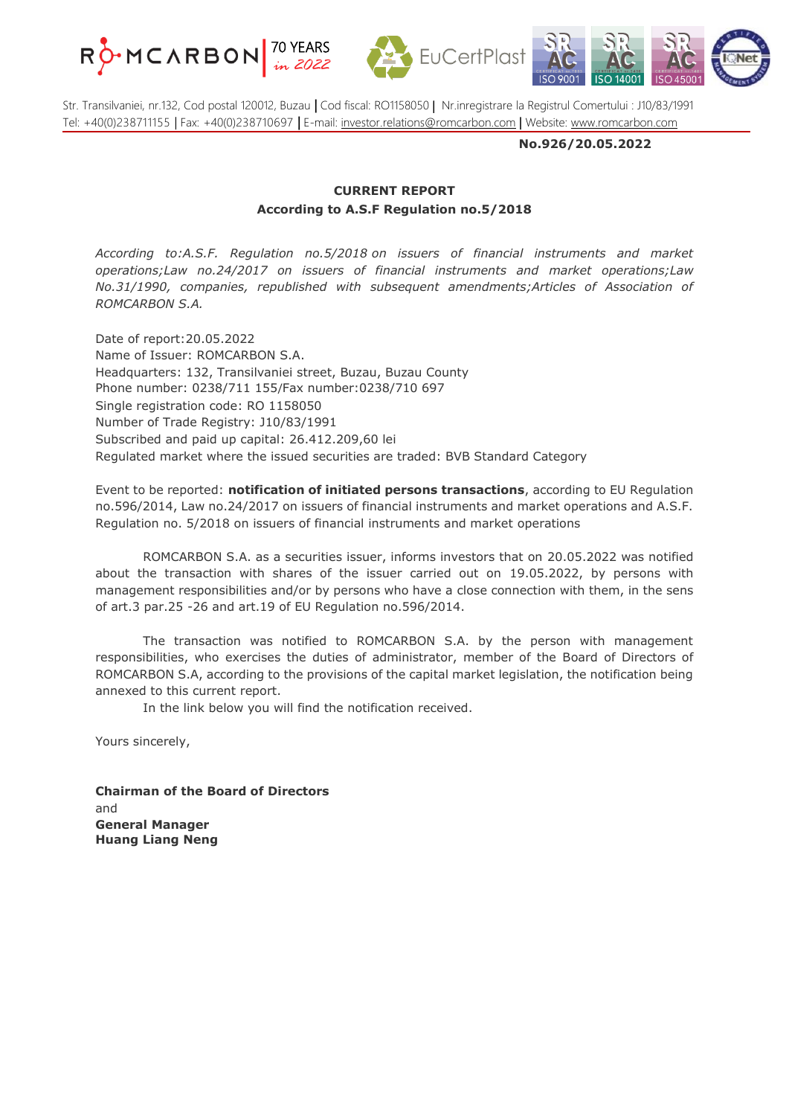





Str. Transilvaniei, nr.132, Cod postal 120012, Buzau **|** Cod fiscal: RO1158050 | Nr.inregistrare la Registrul Comertului : J10/83/1991 Tel: +40(0)238711155 | Fax: +40(0)238710697 **|** E-mail: [investor.relations@romcarbon.com](mailto:investor.relations@romcarbon.com) | Website: [www.romcarbon.com](https://www.romcarbon.com/)

**No.926/20.05.2022**

## **CURRENT REPORT According to A.S.F Regulation no.5/2018**

*According to:A.S.F. Regulation no.5/2018 on issuers of financial instruments and market operations;Law no.24/2017 on issuers of financial instruments and market operations;Law No.31/1990, companies, republished with subsequent amendments;Articles of Association of ROMCARBON S.A.*

Date of report:20.05.2022 Name of Issuer: ROMCARBON S.A. Headquarters: 132, Transilvaniei street, Buzau, Buzau County Phone number: 0238/711 155/Fax number:0238/710 697 Single registration code: RO 1158050 Number of Trade Registry: J10/83/1991 Subscribed and paid up capital: 26.412.209,60 lei Regulated market where the issued securities are traded: BVB Standard Category

Event to be reported: **notification of initiated persons transactions**, according to EU Regulation no.596/2014, Law no.24/2017 on issuers of financial instruments and market operations and A.S.F. Regulation no. 5/2018 on issuers of financial instruments and market operations

ROMCARBON S.A. as a securities issuer, informs investors that on 20.05.2022 was notified about the transaction with shares of the issuer carried out on 19.05.2022, by persons with management responsibilities and/or by persons who have a close connection with them, in the sens of art.3 par.25 -26 and art.19 of EU Regulation no.596/2014.

The transaction was notified to ROMCARBON S.A. by the person with management responsibilities, who exercises the duties of administrator, member of the Board of Directors of ROMCARBON S.A, according to the provisions of the capital market legislation, the notification being annexed to this current report.

In the link below you will find the notification received.

Yours sincerely,

**Chairman of the Board of Directors** and **General Manager Huang Liang Neng**